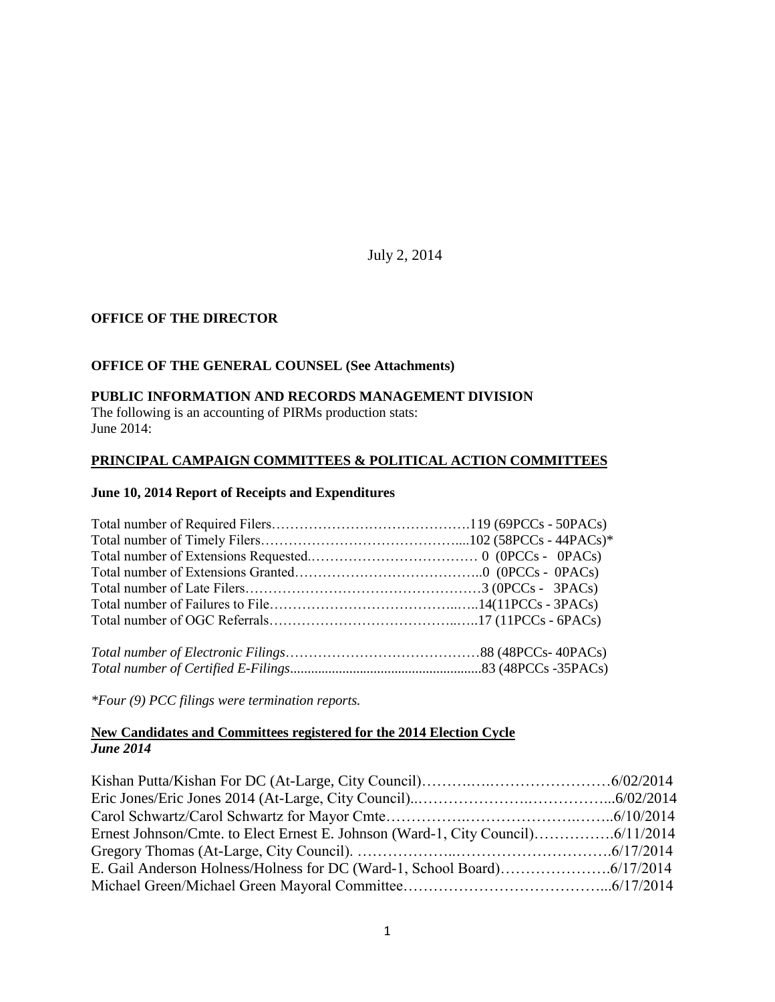July 2, 2014

## **OFFICE OF THE DIRECTOR**

## **OFFICE OF THE GENERAL COUNSEL (See Attachments)**

### **PUBLIC INFORMATION AND RECORDS MANAGEMENT DIVISION**

The following is an accounting of PIRMs production stats: June 2014:

## **PRINCIPAL CAMPAIGN COMMITTEES & POLITICAL ACTION COMMITTEES**

#### **June 10, 2014 Report of Receipts and Expenditures**

*\*Four (9) PCC filings were termination reports.*

### **New Candidates and Committees registered for the 2014 Election Cycle** *June 2014*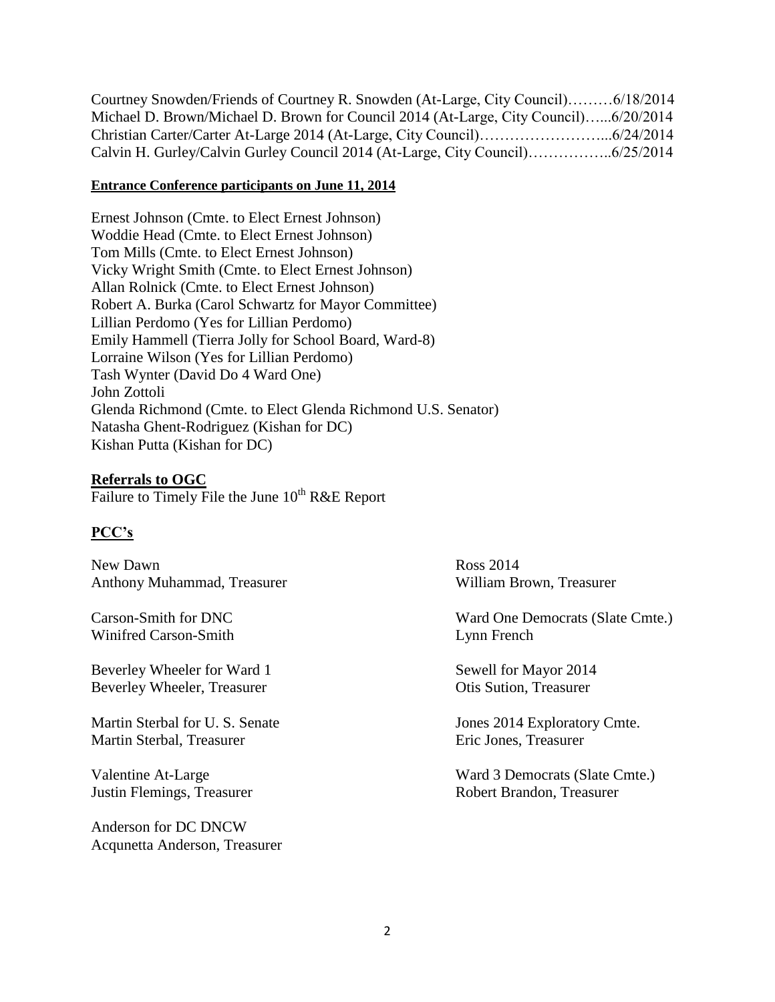Courtney Snowden/Friends of Courtney R. Snowden (At-Large, City Council)………6/18/2014 Michael D. Brown/Michael D. Brown for Council 2014 (At-Large, City Council)…...6/20/2014 Christian Carter/Carter At-Large 2014 (At-Large, City Council)……………………...6/24/2014 Calvin H. Gurley/Calvin Gurley Council 2014 (At-Large, City Council)……………..6/25/2014

## **Entrance Conference participants on June 11, 2014**

Ernest Johnson (Cmte. to Elect Ernest Johnson) Woddie Head (Cmte. to Elect Ernest Johnson) Tom Mills (Cmte. to Elect Ernest Johnson) Vicky Wright Smith (Cmte. to Elect Ernest Johnson) Allan Rolnick (Cmte. to Elect Ernest Johnson) Robert A. Burka (Carol Schwartz for Mayor Committee) Lillian Perdomo (Yes for Lillian Perdomo) Emily Hammell (Tierra Jolly for School Board, Ward-8) Lorraine Wilson (Yes for Lillian Perdomo) Tash Wynter (David Do 4 Ward One) John Zottoli Glenda Richmond (Cmte. to Elect Glenda Richmond U.S. Senator) Natasha Ghent-Rodriguez (Kishan for DC) Kishan Putta (Kishan for DC)

## **Referrals to OGC**

Failure to Timely File the June 10<sup>th</sup> R&E Report

## **PCC's**

New Dawn Ross 2014 Anthony Muhammad, Treasurer William Brown, Treasurer

Winifred Carson-Smith Lynn French

Beverley Wheeler for Ward 1 Sewell for Mayor 2014 Beverley Wheeler, Treasurer **Otis Sution**, Treasurer **Otis Sution**, Treasurer

Martin Sterbal for U.S. Senate Jones 2014 Exploratory Cmte. Martin Sterbal, Treasurer Eric Jones, Treasurer

Anderson for DC DNCW Acqunetta Anderson, Treasurer

Carson-Smith for DNC Ward One Democrats (Slate Cmte.)

Valentine At-Large Ward 3 Democrats (Slate Cmte.) Justin Flemings, Treasurer Robert Brandon, Treasurer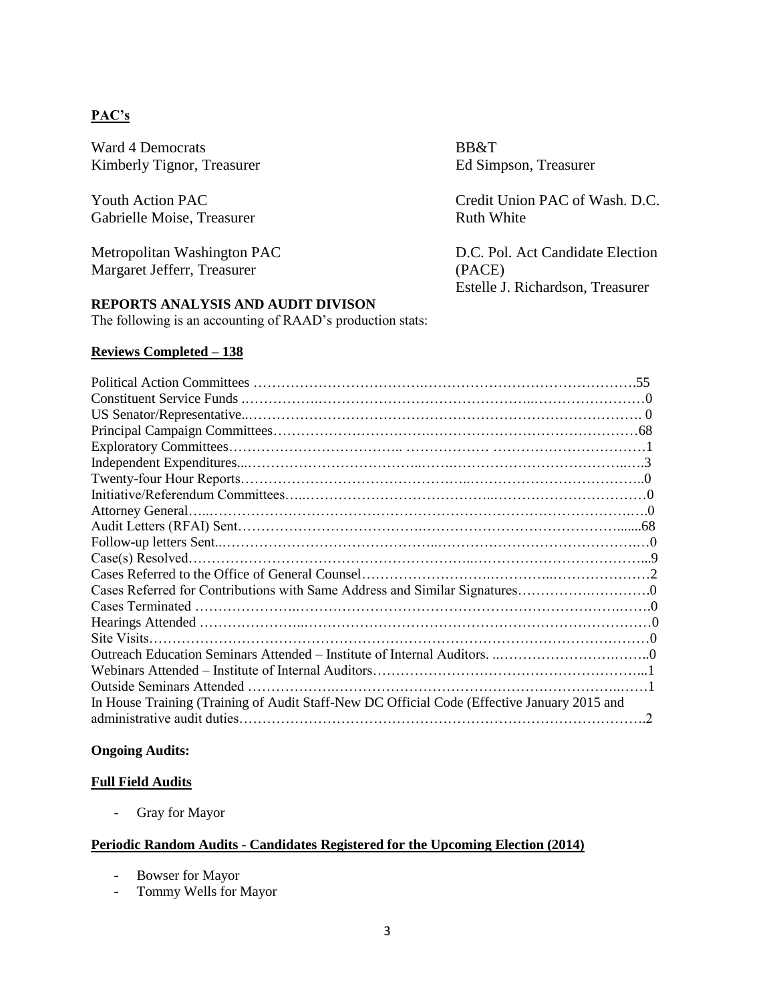## **PAC's**

Ward 4 Democrats BB&T Kimberly Tignor, Treasurer Ed Simpson, Treasurer

Gabrielle Moise, Treasurer Ruth White

Margaret Jefferr, Treasurer (PACE)

Youth Action PAC The Credit Union PAC of Wash. D.C.

Metropolitan Washington PAC D.C. Pol. Act Candidate Election Estelle J. Richardson, Treasurer

## **REPORTS ANALYSIS AND AUDIT DIVISON**

The following is an accounting of RAAD's production stats:

## **Reviews Completed – 138**

| $\mathcal{D}$ |
|---------------|
|               |

### **Ongoing Audits:**

### **Full Field Audits**

**-** Gray for Mayor

## **Periodic Random Audits - Candidates Registered for the Upcoming Election (2014)**

- **-** Bowser for Mayor
- **-** Tommy Wells for Mayor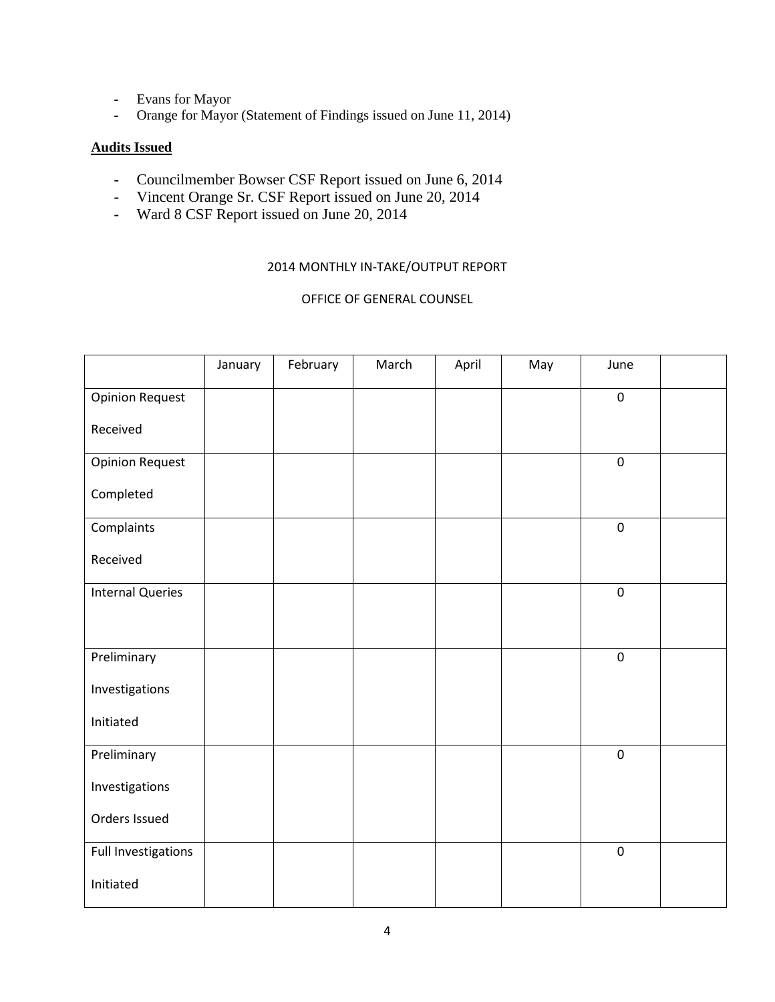- **-** Evans for Mayor
- **-** Orange for Mayor (Statement of Findings issued on June 11, 2014)

## **Audits Issued**

- **-** Councilmember Bowser CSF Report issued on June 6, 2014
- **-** Vincent Orange Sr. CSF Report issued on June 20, 2014
- **-** Ward 8 CSF Report issued on June 20, 2014

## 2014 MONTHLY IN-TAKE/OUTPUT REPORT

### OFFICE OF GENERAL COUNSEL

|                         | January | February | March | April | May | June             |  |
|-------------------------|---------|----------|-------|-------|-----|------------------|--|
| <b>Opinion Request</b>  |         |          |       |       |     | $\pmb{0}$        |  |
| Received                |         |          |       |       |     |                  |  |
| <b>Opinion Request</b>  |         |          |       |       |     | $\pmb{0}$        |  |
| Completed               |         |          |       |       |     |                  |  |
| Complaints              |         |          |       |       |     | $\pmb{0}$        |  |
| Received                |         |          |       |       |     |                  |  |
| <b>Internal Queries</b> |         |          |       |       |     | $\pmb{0}$        |  |
|                         |         |          |       |       |     |                  |  |
| Preliminary             |         |          |       |       |     | $\boldsymbol{0}$ |  |
| Investigations          |         |          |       |       |     |                  |  |
| Initiated               |         |          |       |       |     |                  |  |
| Preliminary             |         |          |       |       |     | $\boldsymbol{0}$ |  |
| Investigations          |         |          |       |       |     |                  |  |
| Orders Issued           |         |          |       |       |     |                  |  |
| Full Investigations     |         |          |       |       |     | $\boldsymbol{0}$ |  |
| Initiated               |         |          |       |       |     |                  |  |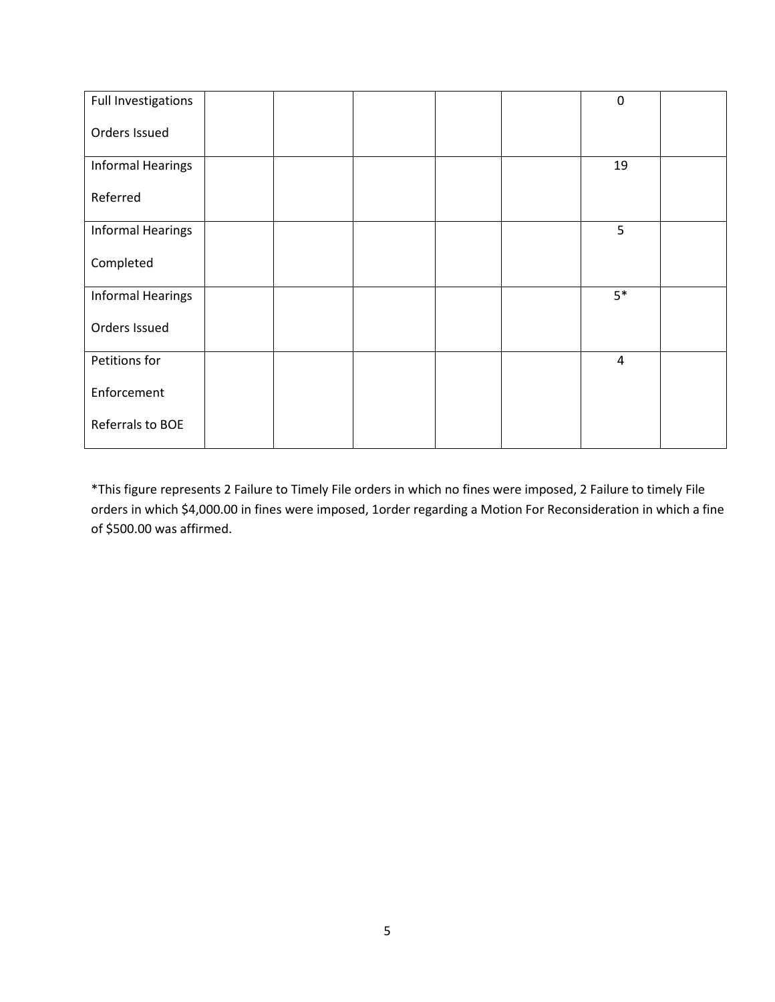| Full Investigations      |  |  | $\boldsymbol{0}$ |  |
|--------------------------|--|--|------------------|--|
| Orders Issued            |  |  |                  |  |
| <b>Informal Hearings</b> |  |  | 19               |  |
| Referred                 |  |  |                  |  |
| <b>Informal Hearings</b> |  |  | 5                |  |
| Completed                |  |  |                  |  |
| <b>Informal Hearings</b> |  |  | $5*$             |  |
| Orders Issued            |  |  |                  |  |
| Petitions for            |  |  | $\overline{4}$   |  |
| Enforcement              |  |  |                  |  |
| Referrals to BOE         |  |  |                  |  |

\*This figure represents 2 Failure to Timely File orders in which no fines were imposed, 2 Failure to timely File orders in which \$4,000.00 in fines were imposed, 1order regarding a Motion For Reconsideration in which a fine of \$500.00 was affirmed.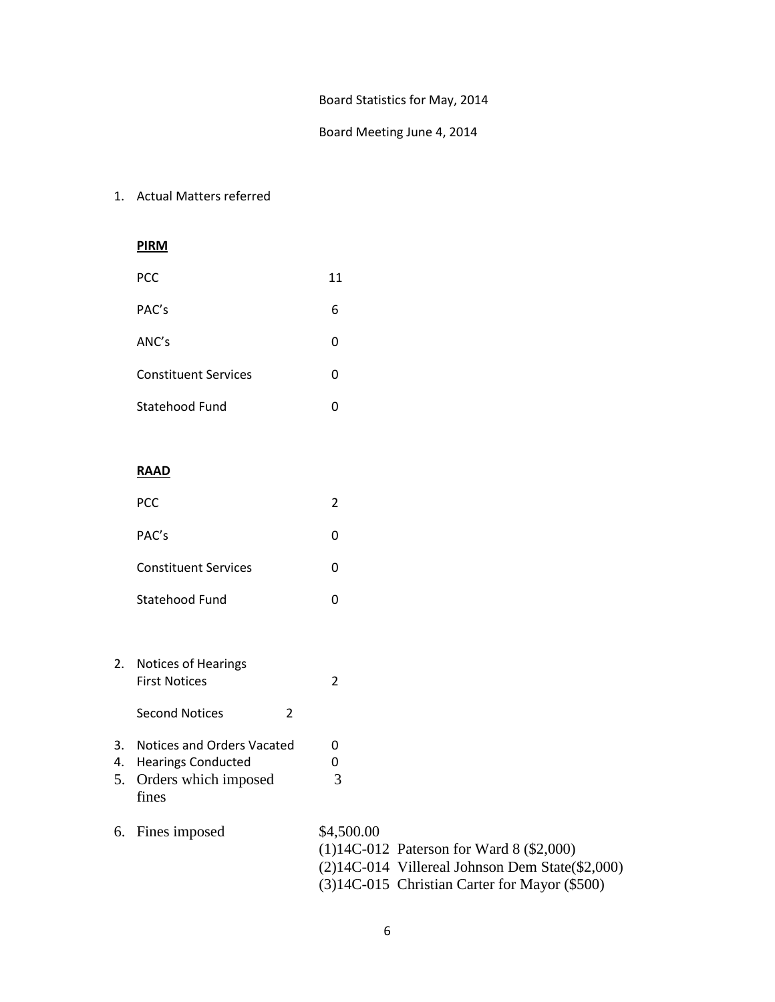#### Board Statistics for May, 2014

### Board Meeting June 4, 2014

1. Actual Matters referred

## **PIRM**

| PCC                         | 11 |
|-----------------------------|----|
| PAC's                       | 6  |
| ANC's                       | 0  |
| <b>Constituent Services</b> | 0  |
| Statehood Fund              | 0  |

#### **RAAD**

| <b>PCC</b>                  |  |
|-----------------------------|--|
| PAC's                       |  |
| <b>Constituent Services</b> |  |

Statehood Fund 0

- 2. Notices of Hearings First Notices 2
	- Second Notices 2
- 3. Notices and Orders Vacated 0
- 4. Hearings Conducted 0 5. Orders which imposed 3 fines
- 6. Fines imposed \$4,500.00 (1)14C-012 Paterson for Ward 8 (\$2,000) (2)14C-014 Villereal Johnson Dem State(\$2,000) (3)14C-015 Christian Carter for Mayor (\$500)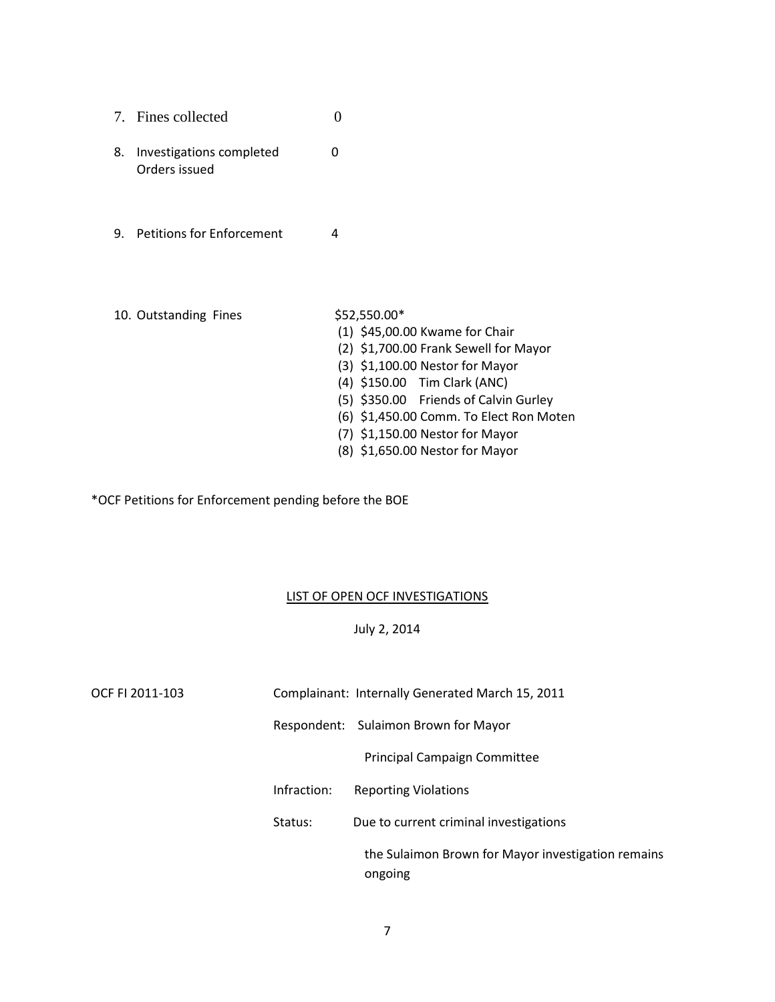|    | 7. Fines collected                        |   |
|----|-------------------------------------------|---|
| 8. | Investigations completed<br>Orders issued | O |
| 9. | <b>Petitions for Enforcement</b>          | 4 |

10. Outstanding Fines \$52,550.00\* (1) \$45,00.00 Kwame for Chair (2) \$1,700.00 Frank Sewell for Mayor (3) \$1,100.00 Nestor for Mayor (4) \$150.00 Tim Clark (ANC) (5) \$350.00 Friends of Calvin Gurley (6) \$1,450.00 Comm. To Elect Ron Moten (7) \$1,150.00 Nestor for Mayor (8) \$1,650.00 Nestor for Mayor

\*OCF Petitions for Enforcement pending before the BOE

### LIST OF OPEN OCF INVESTIGATIONS

### July 2, 2014

| OCF FI 2011-103 |             | Complainant: Internally Generated March 15, 2011              |
|-----------------|-------------|---------------------------------------------------------------|
|                 |             | Respondent: Sulaimon Brown for Mayor                          |
|                 |             | <b>Principal Campaign Committee</b>                           |
|                 | Infraction: | <b>Reporting Violations</b>                                   |
|                 | Status:     | Due to current criminal investigations                        |
|                 |             | the Sulaimon Brown for Mayor investigation remains<br>ongoing |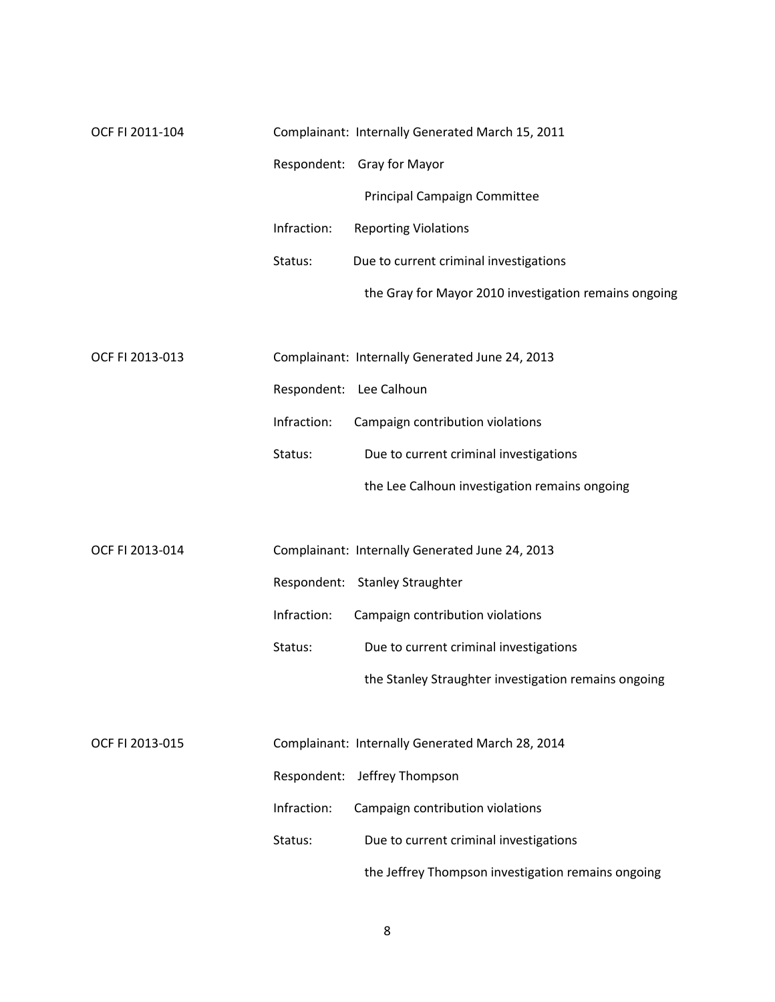| OCF FI 2011-104 |             | Complainant: Internally Generated March 15, 2011      |
|-----------------|-------------|-------------------------------------------------------|
|                 |             | Respondent: Gray for Mayor                            |
|                 |             | Principal Campaign Committee                          |
|                 | Infraction: | <b>Reporting Violations</b>                           |
|                 | Status:     | Due to current criminal investigations                |
|                 |             | the Gray for Mayor 2010 investigation remains ongoing |
|                 |             |                                                       |
| OCF FI 2013-013 |             | Complainant: Internally Generated June 24, 2013       |
|                 |             | Respondent: Lee Calhoun                               |
|                 | Infraction: | Campaign contribution violations                      |
|                 | Status:     | Due to current criminal investigations                |
|                 |             | the Lee Calhoun investigation remains ongoing         |
|                 |             |                                                       |
| OCF FI 2013-014 |             | Complainant: Internally Generated June 24, 2013       |
|                 |             | Respondent: Stanley Straughter                        |
|                 | Infraction: | Campaign contribution violations                      |
|                 | Status:     | Due to current criminal investigations                |
|                 |             | the Stanley Straughter investigation remains ongoing  |
|                 |             |                                                       |
| OCF FI 2013-015 |             | Complainant: Internally Generated March 28, 2014      |
|                 | Respondent: | Jeffrey Thompson                                      |
|                 | Infraction: | Campaign contribution violations                      |
|                 | Status:     | Due to current criminal investigations                |
|                 |             | the Jeffrey Thompson investigation remains ongoing    |